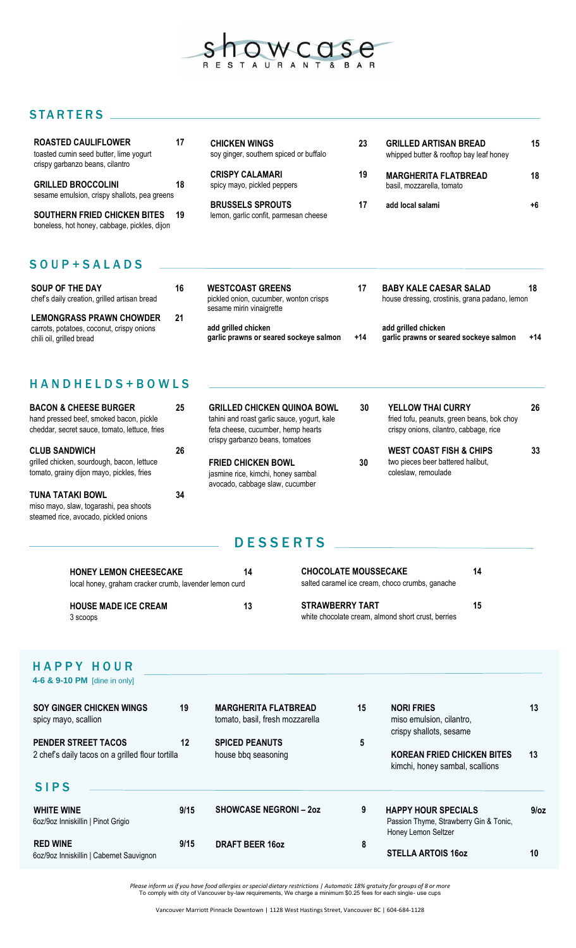

## STARTERS .

| <b>ROASTED CAULIFLOWER</b><br>toasted cumin seed butter, lime yogurt<br>crispy garbanzo beans, cilantro | 17  | <b>CHICKEN WINGS</b><br>soy ginger, southern spiced or buffalo   | 23 | <b>GRILLED ARTISAN BREAD</b><br>whipped butter & rooftop bay leaf honey | 15   |
|---------------------------------------------------------------------------------------------------------|-----|------------------------------------------------------------------|----|-------------------------------------------------------------------------|------|
| <b>GRILLED BROCCOLINI</b><br>sesame emulsion, crispy shallots, pea greens                               | 18  | <b>CRISPY CALAMARI</b><br>spicy mayo, pickled peppers            | 19 | <b>MARGHERITA FLATBREAD</b><br>basil, mozzarella, tomato                | 18   |
| <b>SOUTHERN FRIED CHICKEN BITES</b><br>boneless, hot honey, cabbage, pickles, dijon                     | -19 | <b>BRUSSELS SPROUTS</b><br>lemon, garlic confit, parmesan cheese | 17 | add local salami                                                        | $+6$ |

## S O U P + S A L A D S

| SOUP OF THE DAY<br>chef's daily creation, grilled artisan bread                                          | 16 | <b>WESTCOAST GREENS</b><br>pickled onion, cucumber, wonton crisps<br>sesame mirin vinaigrette |       | <b>BABY KALE CAESAR SALAD</b><br>house dressing, crostinis, grana padano, lemon | 18    |
|----------------------------------------------------------------------------------------------------------|----|-----------------------------------------------------------------------------------------------|-------|---------------------------------------------------------------------------------|-------|
| <b>LEMONGRASS PRAWN CHOWDER</b><br>carrots, potatoes, coconut, crispy onions<br>chili oil, grilled bread | 21 | add grilled chicken<br>garlic prawns or seared sockeye salmon                                 | $+14$ | add grilled chicken<br>garlic prawns or seared sockeye salmon                   | $+14$ |

## H A N D H E L D S + B O W L S

| <b>BACON &amp; CHEESE BURGER</b><br>hand pressed beef, smoked bacon, pickle<br>cheddar, secret sauce, tomato, lettuce, fries | 25 | <b>GRILLED CHICKEN QUINOA BOWL</b><br>tahini and roast garlic sauce, yogurt, kale<br>feta cheese, cucumber, hemp hearts<br>crispy garbanzo beans, tomatoes | 30 | <b>YELLOW THAI CURRY</b><br>fried tofu, peanuts, green beans, bok choy<br>crispy onions, cilantro, cabbage, rice | 26 |
|------------------------------------------------------------------------------------------------------------------------------|----|------------------------------------------------------------------------------------------------------------------------------------------------------------|----|------------------------------------------------------------------------------------------------------------------|----|
| <b>CLUB SANDWICH</b><br>grilled chicken, sourdough, bacon, lettuce<br>tomato, grainy dijon mayo, pickles, fries              | 26 | <b>FRIED CHICKEN BOWL</b><br>jasmine rice, kimchi, honey sambal<br>avocado, cabbage slaw, cucumber                                                         | 30 | <b>WEST COAST FISH &amp; CHIPS</b><br>two pieces beer battered halibut,<br>coleslaw, remoulade                   | 33 |
| <b>TUNA TATAKI BOWL</b><br>miso mayo, slaw, togarashi, pea shoots<br>steamed rice, avocado, pickled onions                   | 34 |                                                                                                                                                            |    |                                                                                                                  |    |

# **DESSERTS**

| <b>HONEY LEMON CHEESECAKE</b><br>local honey, graham cracker crumb, lavender lemon curd | 14 | <b>CHOCOLATE MOUSSECAKE</b><br>salted caramel ice cream, choco crumbs, ganache | 14 |
|-----------------------------------------------------------------------------------------|----|--------------------------------------------------------------------------------|----|
| <b>HOUSE MADE ICE CREAM</b><br>3 scoops                                                 | 13 | <b>STRAWBERRY TART</b><br>white chocolate cream, almond short crust, berries   | 15 |

#### HAPPY HOUR **4-6 & 9-10 PM** [dine in only]

| <b>SOY GINGER CHICKEN WINGS</b><br>spicy mayo, scallion                        | 19   | <b>MARGHERITA FLATBREAD</b><br>tomato, basil, fresh mozzarella | 15 | <b>NORI FRIES</b><br>miso emulsion, cilantro,<br>crispy shallots, sesame                    | 13         |
|--------------------------------------------------------------------------------|------|----------------------------------------------------------------|----|---------------------------------------------------------------------------------------------|------------|
| <b>PENDER STREET TACOS</b><br>2 chef's daily tacos on a grilled flour tortilla | 12   | <b>SPICED PEANUTS</b><br>house bbq seasoning                   | 5  | <b>KOREAN FRIED CHICKEN BITES</b><br>kimchi, honey sambal, scallions                        | 13         |
| <b>SIPS</b>                                                                    |      |                                                                |    |                                                                                             |            |
| <b>WHITE WINE</b><br>6oz/9oz Inniskillin   Pinot Grigio                        | 9/15 | <b>SHOWCASE NEGRONI-20Z</b>                                    | 9  | <b>HAPPY HOUR SPECIALS</b><br>Passion Thyme, Strawberry Gin & Tonic,<br>Honey Lemon Seltzer | $9$ / $oz$ |
| <b>RED WINE</b><br>6oz/9oz Inniskillin   Cabernet Sauvignon                    | 9/15 | <b>DRAFT BEER 16oz</b>                                         | 8  | <b>STELLA ARTOIS 16oz</b>                                                                   | 10         |

Please inform us if you have food allergies or special dietary restrictions | Automatic 18% gratuity for groups of 8 or more<br>To comply with city of Vancouver by-law requirements, We charge a minimum \$0.25 fees for each sin